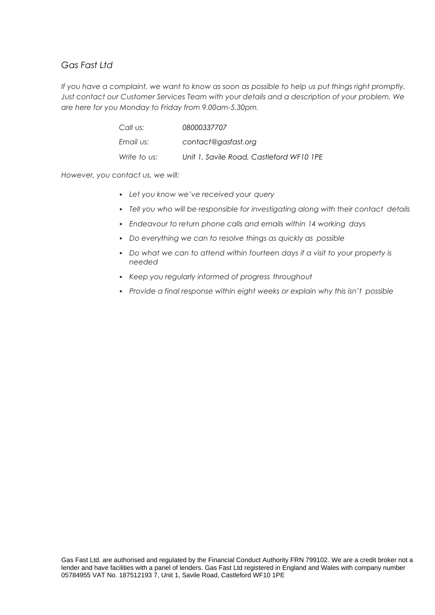## *Gas Fast Ltd*

*If you have a complaint, we want to know as soon as possible to help us put things right promptly. Just contact our Customer Services Team with your details and a description of your problem. We are here for you Monday to Friday from 9.00am-5.30pm.*

| Call us:     | 08000337707                              |
|--------------|------------------------------------------|
| Email us:    | contact@gasfast.org                      |
| Write to us: | Unit 1, Savile Road, Castleford WF10 1PE |

*However, you contact us, we will:*

- *Let you know we've received your query*
- *Tell you who will be responsible for investigating along with their contact details*
- *Endeavour to return phone calls and emails within 14 working days*
- *Do everything we can to resolve things as quickly as possible*
- *Do what we can to attend within fourteen days if a visit to your property is needed*
- *Keep you regularly informed of progress throughout*
- *Provide a final response within eight weeks or explain why this isn't possible*